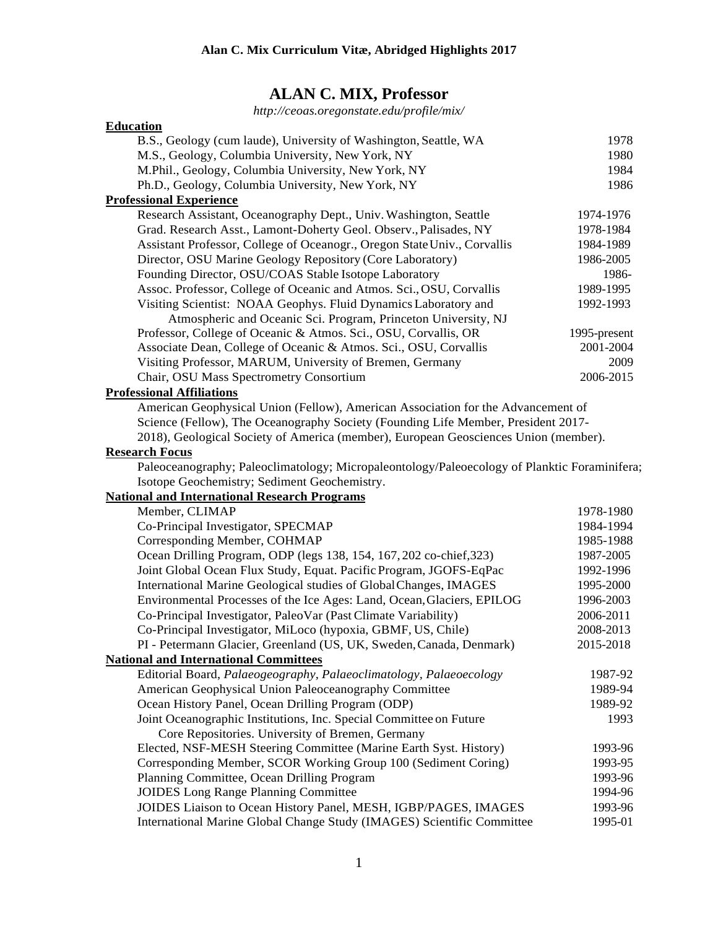# **ALAN C. MIX, Professor**

*<http://ceoas.oregonstate.edu/profile/mix/>*

| <b>Education</b>                                                                             |              |
|----------------------------------------------------------------------------------------------|--------------|
| B.S., Geology (cum laude), University of Washington, Seattle, WA                             | 1978         |
| M.S., Geology, Columbia University, New York, NY                                             | 1980         |
| M.Phil., Geology, Columbia University, New York, NY                                          | 1984         |
| Ph.D., Geology, Columbia University, New York, NY                                            | 1986         |
| <b>Professional Experience</b>                                                               |              |
| Research Assistant, Oceanography Dept., Univ. Washington, Seattle                            | 1974-1976    |
| Grad. Research Asst., Lamont-Doherty Geol. Observ., Palisades, NY                            | 1978-1984    |
| Assistant Professor, College of Oceanogr., Oregon State Univ., Corvallis                     | 1984-1989    |
| Director, OSU Marine Geology Repository (Core Laboratory)                                    | 1986-2005    |
| Founding Director, OSU/COAS Stable Isotope Laboratory                                        | 1986-        |
| Assoc. Professor, College of Oceanic and Atmos. Sci., OSU, Corvallis                         | 1989-1995    |
| Visiting Scientist: NOAA Geophys. Fluid Dynamics Laboratory and                              | 1992-1993    |
| Atmospheric and Oceanic Sci. Program, Princeton University, NJ                               |              |
| Professor, College of Oceanic & Atmos. Sci., OSU, Corvallis, OR                              | 1995-present |
| Associate Dean, College of Oceanic & Atmos. Sci., OSU, Corvallis                             | 2001-2004    |
| Visiting Professor, MARUM, University of Bremen, Germany                                     | 2009         |
| Chair, OSU Mass Spectrometry Consortium                                                      | 2006-2015    |
| <b>Professional Affiliations</b>                                                             |              |
| American Geophysical Union (Fellow), American Association for the Advancement of             |              |
| Science (Fellow), The Oceanography Society (Founding Life Member, President 2017-            |              |
| 2018), Geological Society of America (member), European Geosciences Union (member).          |              |
| <b>Research Focus</b>                                                                        |              |
| Paleoceanography; Paleoclimatology; Micropaleontology/Paleoecology of Planktic Foraminifera; |              |
| Isotope Geochemistry; Sediment Geochemistry.                                                 |              |
| <b>National and International Research Programs</b>                                          |              |
| Member, CLIMAP                                                                               | 1978-1980    |
| Co-Principal Investigator, SPECMAP                                                           | 1984-1994    |
| Corresponding Member, COHMAP                                                                 | 1985-1988    |
| Ocean Drilling Program, ODP (legs 138, 154, 167, 202 co-chief, 323)                          | 1987-2005    |
| Joint Global Ocean Flux Study, Equat. Pacific Program, JGOFS-EqPac                           | 1992-1996    |
| International Marine Geological studies of Global Changes, IMAGES                            | 1995-2000    |
| Environmental Processes of the Ice Ages: Land, Ocean, Glaciers, EPILOG                       | 1996-2003    |
| Co-Principal Investigator, PaleoVar (Past Climate Variability)                               | 2006-2011    |
| Co-Principal Investigator, MiLoco (hypoxia, GBMF, US, Chile)                                 | 2008-2013    |
| PI - Petermann Glacier, Greenland (US, UK, Sweden, Canada, Denmark)                          | 2015-2018    |
| <b>National and International Committees</b>                                                 |              |
| Editorial Board, Palaeogeography, Palaeoclimatology, Palaeoecology                           | 1987-92      |
| American Geophysical Union Paleoceanography Committee                                        | 1989-94      |
| Ocean History Panel, Ocean Drilling Program (ODP)                                            | 1989-92      |
| Joint Oceanographic Institutions, Inc. Special Committee on Future                           | 1993         |
| Core Repositories. University of Bremen, Germany                                             |              |
| Elected, NSF-MESH Steering Committee (Marine Earth Syst. History)                            | 1993-96      |
| Corresponding Member, SCOR Working Group 100 (Sediment Coring)                               | 1993-95      |
| Planning Committee, Ocean Drilling Program                                                   | 1993-96      |
| <b>JOIDES Long Range Planning Committee</b>                                                  | 1994-96      |
| JOIDES Liaison to Ocean History Panel, MESH, IGBP/PAGES, IMAGES                              | 1993-96      |
| International Marine Global Change Study (IMAGES) Scientific Committee                       | 1995-01      |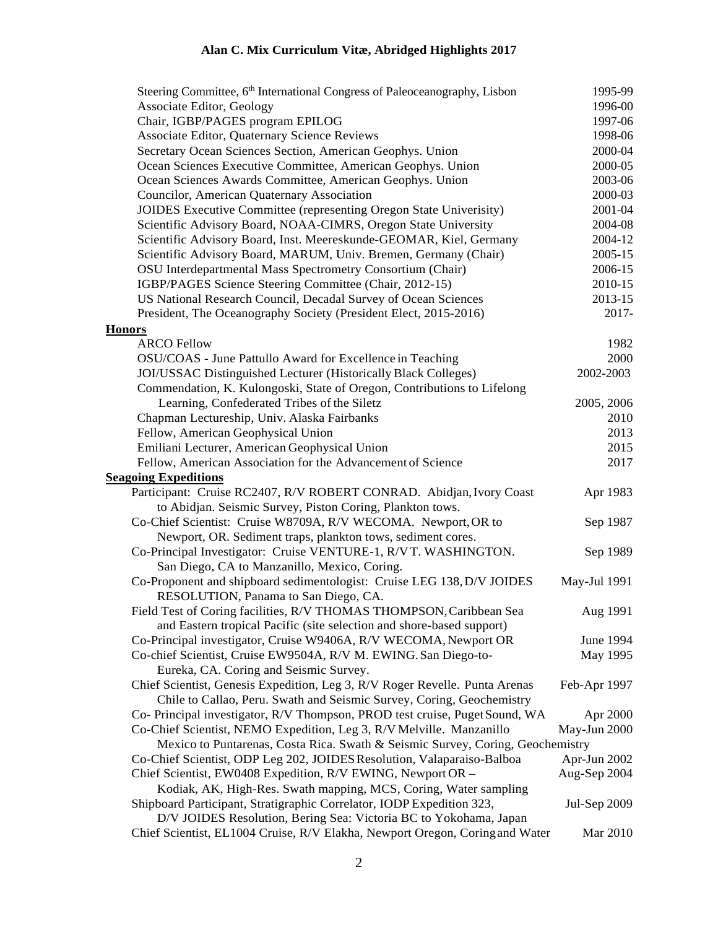| Steering Committee, 6 <sup>th</sup> International Congress of Paleoceanography, Lisbon | 1995-99             |
|----------------------------------------------------------------------------------------|---------------------|
| <b>Associate Editor, Geology</b>                                                       | 1996-00             |
| Chair, IGBP/PAGES program EPILOG                                                       | 1997-06             |
| Associate Editor, Quaternary Science Reviews                                           | 1998-06             |
| Secretary Ocean Sciences Section, American Geophys. Union                              | 2000-04             |
| Ocean Sciences Executive Committee, American Geophys. Union                            | 2000-05             |
| Ocean Sciences Awards Committee, American Geophys. Union                               | 2003-06             |
| Councilor, American Quaternary Association                                             | 2000-03             |
| JOIDES Executive Committee (representing Oregon State Univerisity)                     | 2001-04             |
| Scientific Advisory Board, NOAA-CIMRS, Oregon State University                         | 2004-08             |
| Scientific Advisory Board, Inst. Meereskunde-GEOMAR, Kiel, Germany                     | 2004-12             |
| Scientific Advisory Board, MARUM, Univ. Bremen, Germany (Chair)                        | 2005-15             |
| OSU Interdepartmental Mass Spectrometry Consortium (Chair)                             | 2006-15             |
| IGBP/PAGES Science Steering Committee (Chair, 2012-15)                                 | 2010-15             |
| US National Research Council, Decadal Survey of Ocean Sciences                         | 2013-15             |
| President, The Oceanography Society (President Elect, 2015-2016)                       | 2017-               |
| <b>Honors</b>                                                                          |                     |
| <b>ARCO Fellow</b>                                                                     | 1982                |
| OSU/COAS - June Pattullo Award for Excellence in Teaching                              | 2000                |
| JOI/USSAC Distinguished Lecturer (Historically Black Colleges)                         | 2002-2003           |
| Commendation, K. Kulongoski, State of Oregon, Contributions to Lifelong                |                     |
| Learning, Confederated Tribes of the Siletz                                            | 2005, 2006          |
| Chapman Lectureship, Univ. Alaska Fairbanks                                            | 2010                |
| Fellow, American Geophysical Union                                                     | 2013                |
| Emiliani Lecturer, American Geophysical Union                                          | 2015                |
| Fellow, American Association for the Advancement of Science                            | 2017                |
| <b>Seagoing Expeditions</b>                                                            |                     |
| Participant: Cruise RC2407, R/V ROBERT CONRAD. Abidjan, Ivory Coast                    | Apr 1983            |
| to Abidjan. Seismic Survey, Piston Coring, Plankton tows.                              |                     |
| Co-Chief Scientist: Cruise W8709A, R/V WECOMA. Newport, OR to                          | Sep 1987            |
| Newport, OR. Sediment traps, plankton tows, sediment cores.                            |                     |
| Co-Principal Investigator: Cruise VENTURE-1, R/VT. WASHINGTON.                         | Sep 1989            |
| San Diego, CA to Manzanillo, Mexico, Coring.                                           |                     |
| Co-Proponent and shipboard sedimentologist: Cruise LEG 138, D/V JOIDES                 | May-Jul 1991        |
| RESOLUTION, Panama to San Diego, CA.                                                   |                     |
| Field Test of Coring facilities, R/V THOMAS THOMPSON, Caribbean Sea                    | Aug 1991            |
| and Eastern tropical Pacific (site selection and shore-based support)                  |                     |
| Co-Principal investigator, Cruise W9406A, R/V WECOMA, Newport OR                       | June 1994           |
| Co-chief Scientist, Cruise EW9504A, R/V M. EWING. San Diego-to-                        | May 1995            |
| Eureka, CA. Coring and Seismic Survey.                                                 |                     |
| Chief Scientist, Genesis Expedition, Leg 3, R/V Roger Revelle. Punta Arenas            | Feb-Apr 1997        |
| Chile to Callao, Peru. Swath and Seismic Survey, Coring, Geochemistry                  |                     |
| Co- Principal investigator, R/V Thompson, PROD test cruise, Puget Sound, WA            | Apr 2000            |
| Co-Chief Scientist, NEMO Expedition, Leg 3, R/V Melville. Manzanillo                   | May-Jun 2000        |
| Mexico to Puntarenas, Costa Rica. Swath & Seismic Survey, Coring, Geochemistry         |                     |
| Co-Chief Scientist, ODP Leg 202, JOIDES Resolution, Valaparaiso-Balboa                 | Apr-Jun 2002        |
| Chief Scientist, EW0408 Expedition, R/V EWING, Newport OR -                            | Aug-Sep 2004        |
| Kodiak, AK, High-Res. Swath mapping, MCS, Coring, Water sampling                       |                     |
| Shipboard Participant, Stratigraphic Correlator, IODP Expedition 323,                  | <b>Jul-Sep 2009</b> |
| D/V JOIDES Resolution, Bering Sea: Victoria BC to Yokohama, Japan                      |                     |
| Chief Scientist, EL1004 Cruise, R/V Elakha, Newport Oregon, Coring and Water           | Mar 2010            |
|                                                                                        |                     |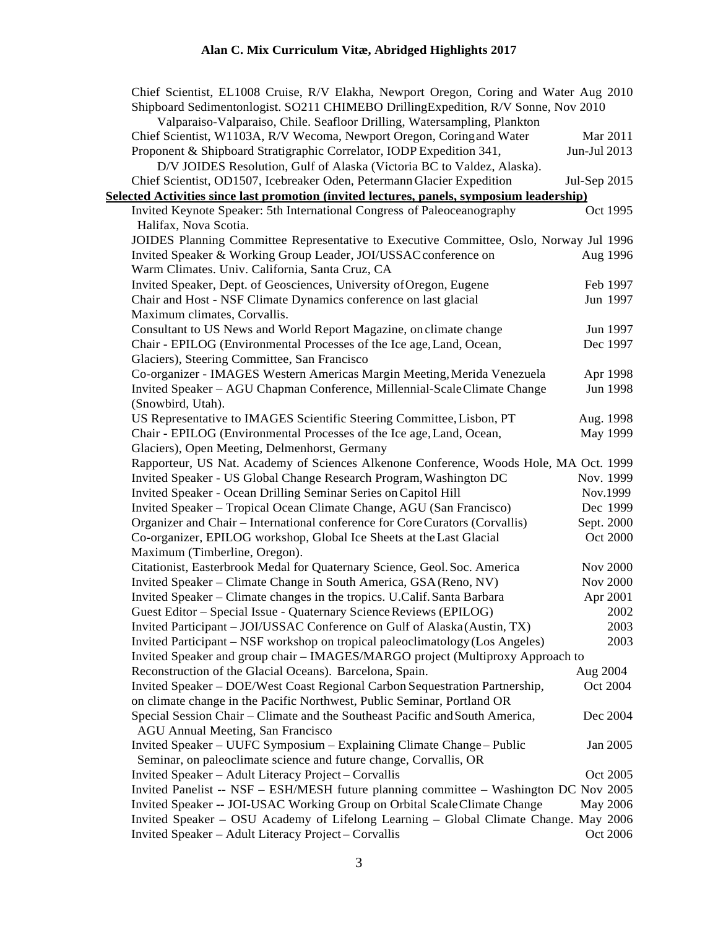| Chief Scientist, EL1008 Cruise, R/V Elakha, Newport Oregon, Coring and Water Aug 2010     |                 |
|-------------------------------------------------------------------------------------------|-----------------|
| Shipboard Sedimentonlogist. SO211 CHIMEBO DrillingExpedition, R/V Sonne, Nov 2010         |                 |
| Valparaiso-Valparaiso, Chile. Seafloor Drilling, Watersampling, Plankton                  |                 |
| Chief Scientist, W1103A, R/V Wecoma, Newport Oregon, Coring and Water                     | Mar 2011        |
| Proponent & Shipboard Stratigraphic Correlator, IODP Expedition 341,                      | Jun-Jul 2013    |
| D/V JOIDES Resolution, Gulf of Alaska (Victoria BC to Valdez, Alaska).                    |                 |
| Chief Scientist, OD1507, Icebreaker Oden, Petermann Glacier Expedition                    | Jul-Sep 2015    |
| Selected Activities since last promotion (invited lectures, panels, symposium leadership) |                 |
| Invited Keynote Speaker: 5th International Congress of Paleoceanography                   | Oct 1995        |
| Halifax, Nova Scotia.                                                                     |                 |
| JOIDES Planning Committee Representative to Executive Committee, Oslo, Norway Jul 1996    |                 |
| Invited Speaker & Working Group Leader, JOI/USSAC conference on                           | Aug 1996        |
| Warm Climates. Univ. California, Santa Cruz, CA                                           |                 |
| Invited Speaker, Dept. of Geosciences, University of Oregon, Eugene                       | Feb 1997        |
| Chair and Host - NSF Climate Dynamics conference on last glacial                          | Jun 1997        |
| Maximum climates, Corvallis.                                                              |                 |
| Consultant to US News and World Report Magazine, on climate change                        | Jun 1997        |
| Chair - EPILOG (Environmental Processes of the Ice age, Land, Ocean,                      | Dec 1997        |
| Glaciers), Steering Committee, San Francisco                                              |                 |
| Co-organizer - IMAGES Western Americas Margin Meeting, Merida Venezuela                   | Apr 1998        |
| Invited Speaker - AGU Chapman Conference, Millennial-Scale Climate Change                 | Jun 1998        |
| (Snowbird, Utah).                                                                         |                 |
| US Representative to IMAGES Scientific Steering Committee, Lisbon, PT                     | Aug. 1998       |
| Chair - EPILOG (Environmental Processes of the Ice age, Land, Ocean,                      | May 1999        |
| Glaciers), Open Meeting, Delmenhorst, Germany                                             |                 |
| Rapporteur, US Nat. Academy of Sciences Alkenone Conference, Woods Hole, MA Oct. 1999     |                 |
| Invited Speaker - US Global Change Research Program, Washington DC                        | Nov. 1999       |
| Invited Speaker - Ocean Drilling Seminar Series on Capitol Hill                           | Nov.1999        |
| Invited Speaker - Tropical Ocean Climate Change, AGU (San Francisco)                      | Dec 1999        |
| Organizer and Chair - International conference for Core Curators (Corvallis)              | Sept. 2000      |
| Co-organizer, EPILOG workshop, Global Ice Sheets at the Last Glacial                      | Oct 2000        |
| Maximum (Timberline, Oregon).                                                             |                 |
| Citationist, Easterbrook Medal for Quaternary Science, Geol. Soc. America                 | <b>Nov 2000</b> |
| Invited Speaker – Climate Change in South America, GSA (Reno, NV)                         | <b>Nov 2000</b> |
| Invited Speaker - Climate changes in the tropics. U.Calif. Santa Barbara                  | Apr 2001        |
| Guest Editor - Special Issue - Quaternary Science Reviews (EPILOG)                        | 2002            |
| Invited Participant - JOI/USSAC Conference on Gulf of Alaska (Austin, TX)                 | 2003            |
| Invited Participant – NSF workshop on tropical paleoclimatology (Los Angeles)             | 2003            |
| Invited Speaker and group chair – IMAGES/MARGO project (Multiproxy Approach to            |                 |
| Reconstruction of the Glacial Oceans). Barcelona, Spain.                                  | Aug 2004        |
| Invited Speaker - DOE/West Coast Regional Carbon Sequestration Partnership,               | Oct 2004        |
| on climate change in the Pacific Northwest, Public Seminar, Portland OR                   |                 |
| Special Session Chair – Climate and the Southeast Pacific and South America,              | Dec 2004        |
| <b>AGU Annual Meeting, San Francisco</b>                                                  |                 |
| Invited Speaker – UUFC Symposium – Explaining Climate Change – Public                     | Jan 2005        |
| Seminar, on paleoclimate science and future change, Corvallis, OR                         |                 |
| Invited Speaker - Adult Literacy Project - Corvallis                                      | Oct 2005        |
| Invited Panelist -- NSF - ESH/MESH future planning committee - Washington DC Nov 2005     |                 |
| Invited Speaker -- JOI-USAC Working Group on Orbital Scale Climate Change                 | May 2006        |
| Invited Speaker - OSU Academy of Lifelong Learning - Global Climate Change. May 2006      |                 |
| Invited Speaker - Adult Literacy Project - Corvallis                                      | Oct 2006        |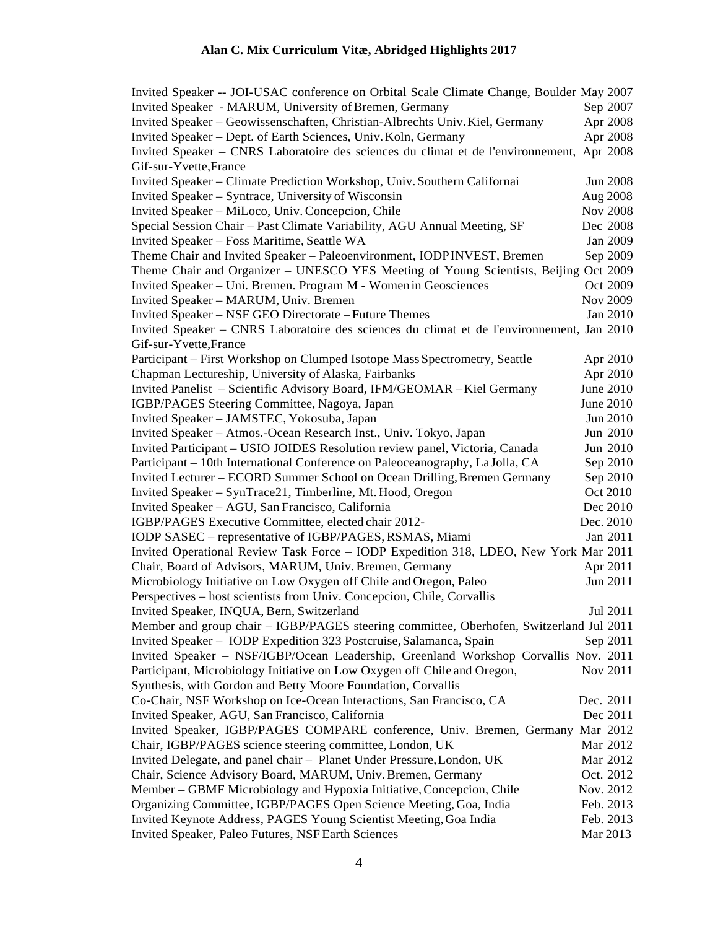| Invited Speaker -- JOI-USAC conference on Orbital Scale Climate Change, Boulder May 2007                                                   |                      |
|--------------------------------------------------------------------------------------------------------------------------------------------|----------------------|
| Invited Speaker - MARUM, University of Bremen, Germany                                                                                     | Sep 2007             |
| Invited Speaker - Geowissenschaften, Christian-Albrechts Univ. Kiel, Germany                                                               | Apr 2008             |
| Invited Speaker - Dept. of Earth Sciences, Univ. Koln, Germany                                                                             | Apr 2008             |
| Invited Speaker - CNRS Laboratoire des sciences du climat et de l'environnement, Apr 2008                                                  |                      |
| Gif-sur-Yvette, France                                                                                                                     |                      |
| Invited Speaker - Climate Prediction Workshop, Univ. Southern Californai                                                                   | Jun 2008             |
| Invited Speaker - Syntrace, University of Wisconsin                                                                                        | Aug 2008             |
| Invited Speaker - MiLoco, Univ. Concepcion, Chile                                                                                          | <b>Nov 2008</b>      |
| Special Session Chair - Past Climate Variability, AGU Annual Meeting, SF                                                                   | Dec 2008             |
| Invited Speaker - Foss Maritime, Seattle WA                                                                                                | Jan 2009             |
| Theme Chair and Invited Speaker - Paleoenvironment, IODPINVEST, Bremen                                                                     | Sep 2009             |
| Theme Chair and Organizer - UNESCO YES Meeting of Young Scientists, Beijing Oct 2009                                                       |                      |
| Invited Speaker - Uni. Bremen. Program M - Women in Geosciences                                                                            | Oct 2009             |
| Invited Speaker - MARUM, Univ. Bremen                                                                                                      | <b>Nov 2009</b>      |
| Invited Speaker - NSF GEO Directorate - Future Themes                                                                                      | Jan 2010             |
| Invited Speaker – CNRS Laboratoire des sciences du climat et de l'environnement, Jan 2010                                                  |                      |
| Gif-sur-Yvette, France                                                                                                                     |                      |
| Participant – First Workshop on Clumped Isotope Mass Spectrometry, Seattle                                                                 | Apr 2010             |
| Chapman Lectureship, University of Alaska, Fairbanks                                                                                       | Apr 2010             |
| Invited Panelist - Scientific Advisory Board, IFM/GEOMAR - Kiel Germany                                                                    | June 2010            |
| IGBP/PAGES Steering Committee, Nagoya, Japan                                                                                               | June 2010            |
| Invited Speaker - JAMSTEC, Yokosuba, Japan                                                                                                 | Jun 2010             |
| Invited Speaker - Atmos.-Ocean Research Inst., Univ. Tokyo, Japan                                                                          | Jun 2010             |
| Invited Participant - USIO JOIDES Resolution review panel, Victoria, Canada                                                                | Jun 2010             |
| Participant - 10th International Conference on Paleoceanography, La Jolla, CA                                                              | Sep 2010             |
| Invited Lecturer - ECORD Summer School on Ocean Drilling, Bremen Germany                                                                   | Sep 2010             |
| Invited Speaker - SynTrace21, Timberline, Mt. Hood, Oregon                                                                                 | Oct 2010             |
| Invited Speaker - AGU, San Francisco, California                                                                                           | Dec 2010             |
| IGBP/PAGES Executive Committee, elected chair 2012-                                                                                        | Dec. 2010            |
| IODP SASEC - representative of IGBP/PAGES, RSMAS, Miami                                                                                    | Jan 2011             |
| Invited Operational Review Task Force - IODP Expedition 318, LDEO, New York Mar 2011                                                       |                      |
| Chair, Board of Advisors, MARUM, Univ. Bremen, Germany                                                                                     | Apr 2011             |
| Microbiology Initiative on Low Oxygen off Chile and Oregon, Paleo                                                                          | Jun 2011             |
| Perspectives – host scientists from Univ. Concepcion, Chile, Corvallis                                                                     |                      |
| Invited Speaker, INQUA, Bern, Switzerland                                                                                                  | Jul 2011             |
| Member and group chair - IGBP/PAGES steering committee, Oberhofen, Switzerland Jul 2011                                                    |                      |
| Invited Speaker - IODP Expedition 323 Postcruise, Salamanca, Spain                                                                         | Sep 2011             |
| Invited Speaker - NSF/IGBP/Ocean Leadership, Greenland Workshop Corvallis Nov. 2011                                                        |                      |
| Participant, Microbiology Initiative on Low Oxygen off Chile and Oregon,                                                                   | Nov 2011             |
| Synthesis, with Gordon and Betty Moore Foundation, Corvallis                                                                               |                      |
| Co-Chair, NSF Workshop on Ice-Ocean Interactions, San Francisco, CA                                                                        | Dec. 2011            |
| Invited Speaker, AGU, San Francisco, California                                                                                            | Dec 2011             |
|                                                                                                                                            |                      |
| Invited Speaker, IGBP/PAGES COMPARE conference, Univ. Bremen, Germany Mar 2012<br>Chair, IGBP/PAGES science steering committee, London, UK |                      |
| Invited Delegate, and panel chair - Planet Under Pressure, London, UK                                                                      | Mar 2012<br>Mar 2012 |
|                                                                                                                                            |                      |
| Chair, Science Advisory Board, MARUM, Univ. Bremen, Germany                                                                                | Oct. 2012            |
| Member – GBMF Microbiology and Hypoxia Initiative, Concepcion, Chile                                                                       | Nov. 2012            |
| Organizing Committee, IGBP/PAGES Open Science Meeting, Goa, India                                                                          | Feb. 2013            |
| Invited Keynote Address, PAGES Young Scientist Meeting, Goa India                                                                          | Feb. 2013            |
| Invited Speaker, Paleo Futures, NSF Earth Sciences                                                                                         | Mar 2013             |